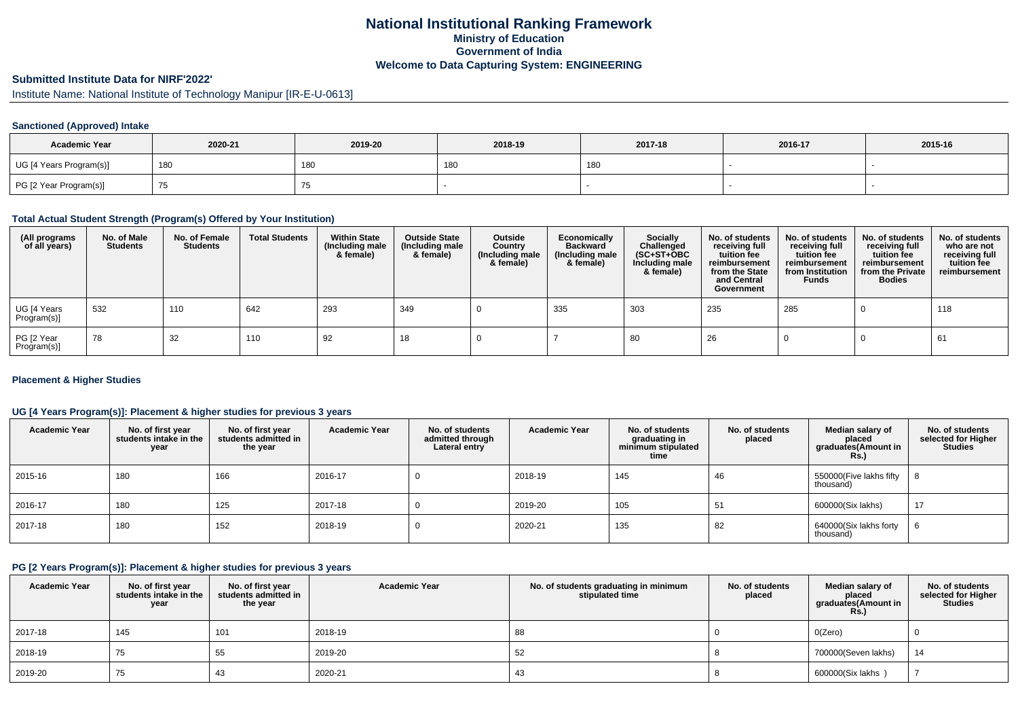## **National Institutional Ranking FrameworkMinistry of Education Government of IndiaWelcome to Data Capturing System: ENGINEERING**

# **Submitted Institute Data for NIRF'2022'**

Institute Name: National Institute of Technology Manipur [IR-E-U-0613]

## **Sanctioned (Approved) Intake**

| <b>Academic Year</b>    | 2020-21 | 2019-20 | 2018-19 | 2017-18 | 2016-17 | 2015-16 |
|-------------------------|---------|---------|---------|---------|---------|---------|
| UG [4 Years Program(s)] | 180     | 180     | 18C     | 180     |         |         |
| PG [2 Year Program(s)]  | 7ບ      | ن ،     |         |         |         |         |

#### **Total Actual Student Strength (Program(s) Offered by Your Institution)**

| (All programs<br>of all years) | No. of Male<br><b>Students</b> | No. of Female<br><b>Students</b> | <b>Total Students</b> | <b>Within State</b><br>(Including male<br>& female) | <b>Outside State</b><br>(Including male<br>& female) | Outside<br>Country<br>(Including male<br>& female) | Economically<br><b>Backward</b><br>(Including male<br>& female) | Socially<br>Challenged<br>$(SC+ST+OBC)$<br>Including male<br>& female) | No. of students<br>receiving full<br>tuition fee<br>reimbursement<br>from the State<br>and Central<br>Government | No. of students<br>receiving full<br>tuition fee<br>reimbursement<br>from Institution<br><b>Funds</b> | No. of students<br>receiving full<br>tuition fee<br>reimbursement<br>from the Private<br><b>Bodies</b> | No. of students<br>who are not<br>receiving full<br>tuition fee<br>reimbursement |
|--------------------------------|--------------------------------|----------------------------------|-----------------------|-----------------------------------------------------|------------------------------------------------------|----------------------------------------------------|-----------------------------------------------------------------|------------------------------------------------------------------------|------------------------------------------------------------------------------------------------------------------|-------------------------------------------------------------------------------------------------------|--------------------------------------------------------------------------------------------------------|----------------------------------------------------------------------------------|
| UG [4 Years<br>Program(s)]     | 532                            | 110                              | 642                   | 293                                                 | 349                                                  |                                                    | 335                                                             | 303                                                                    | 235                                                                                                              | 285                                                                                                   |                                                                                                        | 118                                                                              |
| PG [2 Year<br>Program(s)]      | 78                             | 32                               | 110                   | 92                                                  | 18                                                   |                                                    |                                                                 | 80                                                                     | 26                                                                                                               |                                                                                                       |                                                                                                        | 61                                                                               |

### **Placement & Higher Studies**

### **UG [4 Years Program(s)]: Placement & higher studies for previous 3 years**

| <b>Academic Year</b> | No. of first year<br>students intake in the<br>year | No. of first vear<br>students admitted in<br>the year | <b>Academic Year</b> | No. of students<br>admitted through<br>Lateral entry | <b>Academic Year</b> | No. of students<br>graduating in<br>minimum stipulated<br>time | No. of students<br>placed | Median salary of<br>placed<br>graduates(Amount in<br>Rs. | No. of students<br>selected for Higher<br><b>Studies</b> |
|----------------------|-----------------------------------------------------|-------------------------------------------------------|----------------------|------------------------------------------------------|----------------------|----------------------------------------------------------------|---------------------------|----------------------------------------------------------|----------------------------------------------------------|
| 2015-16              | 180                                                 | 166                                                   | 2016-17              |                                                      | 2018-19              | 145                                                            | 46                        | 550000(Five lakhs fifty<br>thousand)                     | 8                                                        |
| 2016-17              | 180                                                 | 125                                                   | 2017-18              |                                                      | 2019-20              | 105                                                            | 51                        | 600000(Six lakhs)                                        | 17                                                       |
| 2017-18              | 180                                                 | 152                                                   | 2018-19              |                                                      | 2020-21              | 135                                                            | 82                        | 640000(Six lakhs forty<br>thousand)                      | b                                                        |

### **PG [2 Years Program(s)]: Placement & higher studies for previous 3 years**

| <b>Academic Year</b> | No. of first year<br>students intake in the<br>year | No. of first year<br>students admitted in<br>the year | <b>Academic Year</b> | No. of students graduating in minimum<br>stipulated time | No. of students<br>placed | Median salary of<br>placed<br>graduates(Amount in<br>Rs. | No. of students<br>selected for Higher<br>Studies |
|----------------------|-----------------------------------------------------|-------------------------------------------------------|----------------------|----------------------------------------------------------|---------------------------|----------------------------------------------------------|---------------------------------------------------|
| 2017-18              | 145                                                 | 101                                                   | 2018-19              | 88                                                       |                           | O(Zero)                                                  |                                                   |
| 2018-19              | 75                                                  | 55                                                    | 2019-20              | 52                                                       |                           | 700000(Seven lakhs)                                      | 14                                                |
| 2019-20              | 75                                                  | 43                                                    | 2020-21              | 43                                                       |                           | 600000(Six lakhs)                                        |                                                   |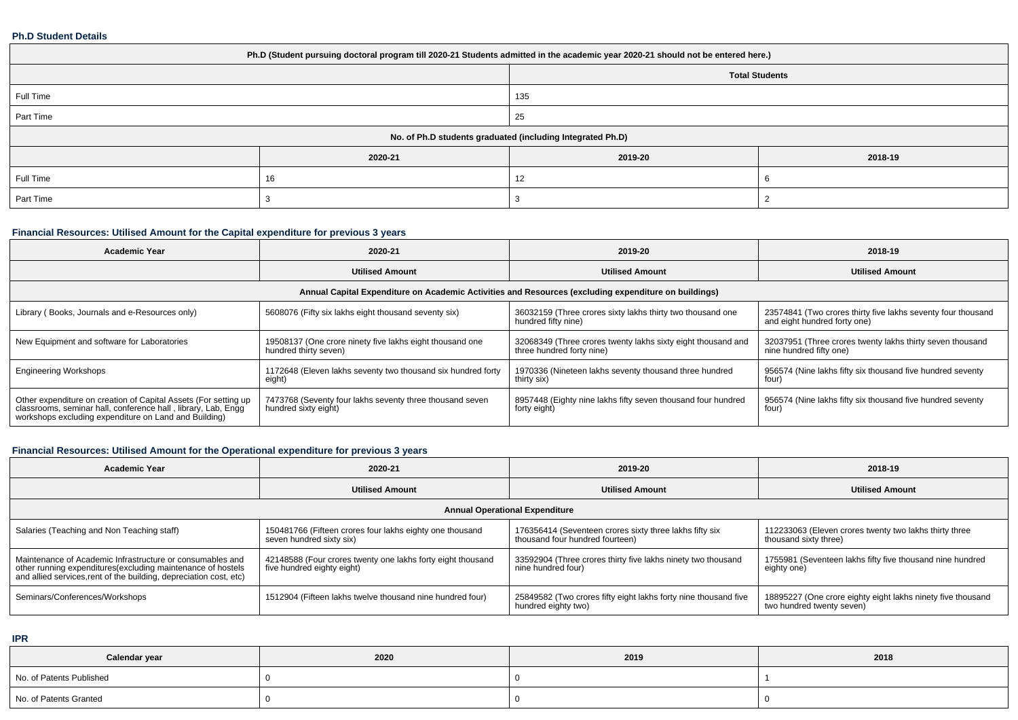#### **Ph.D Student Details**

| Ph.D (Student pursuing doctoral program till 2020-21 Students admitted in the academic year 2020-21 should not be entered here.) |         |         |         |  |  |  |  |
|----------------------------------------------------------------------------------------------------------------------------------|---------|---------|---------|--|--|--|--|
| <b>Total Students</b>                                                                                                            |         |         |         |  |  |  |  |
| Full Time<br>135                                                                                                                 |         |         |         |  |  |  |  |
| Part Time                                                                                                                        |         | 25      |         |  |  |  |  |
| No. of Ph.D students graduated (including Integrated Ph.D)                                                                       |         |         |         |  |  |  |  |
|                                                                                                                                  | 2020-21 | 2019-20 | 2018-19 |  |  |  |  |
| Full Time                                                                                                                        | 16      | 12      |         |  |  |  |  |
| Part Time                                                                                                                        |         |         |         |  |  |  |  |

## **Financial Resources: Utilised Amount for the Capital expenditure for previous 3 years**

| <b>Academic Year</b>                                                                                                                                                                      | 2020-21                                                                                              | 2019-20                                                                                   | 2018-19                                                                                      |  |  |  |  |  |  |
|-------------------------------------------------------------------------------------------------------------------------------------------------------------------------------------------|------------------------------------------------------------------------------------------------------|-------------------------------------------------------------------------------------------|----------------------------------------------------------------------------------------------|--|--|--|--|--|--|
|                                                                                                                                                                                           | <b>Utilised Amount</b>                                                                               | <b>Utilised Amount</b>                                                                    |                                                                                              |  |  |  |  |  |  |
|                                                                                                                                                                                           | Annual Capital Expenditure on Academic Activities and Resources (excluding expenditure on buildings) |                                                                                           |                                                                                              |  |  |  |  |  |  |
| Library (Books, Journals and e-Resources only)                                                                                                                                            | 5608076 (Fifty six lakhs eight thousand seventy six)                                                 | 36032159 (Three crores sixty lakhs thirty two thousand one<br>hundred fifty nine)         | 23574841 (Two crores thirty five lakhs seventy four thousand<br>and eight hundred forty one) |  |  |  |  |  |  |
| New Equipment and software for Laboratories                                                                                                                                               | 19508137 (One crore ninety five lakhs eight thousand one<br>hundred thirty seven)                    | 32068349 (Three crores twenty lakhs sixty eight thousand and<br>three hundred forty nine) | 32037951 (Three crores twenty lakhs thirty seven thousand<br>nine hundred fifty one)         |  |  |  |  |  |  |
| <b>Engineering Workshops</b>                                                                                                                                                              | 1172648 (Eleven lakhs seventy two thousand six hundred forty<br>eight)                               | 1970336 (Nineteen lakhs seventy thousand three hundred<br>thirty six)                     | 956574 (Nine lakhs fifty six thousand five hundred seventy<br>four)                          |  |  |  |  |  |  |
| Other expenditure on creation of Capital Assets (For setting up<br>classrooms, seminar hall, conference hall, library, Lab, Engq<br>workshops excluding expenditure on Land and Building) | 7473768 (Seventy four lakhs seventy three thousand seven<br>hundred sixty eight)                     | 8957448 (Eighty nine lakhs fifty seven thousand four hundred<br>forty eight)              | 956574 (Nine lakhs fifty six thousand five hundred seventy<br>four)                          |  |  |  |  |  |  |

# **Financial Resources: Utilised Amount for the Operational expenditure for previous 3 years**

| <b>Academic Year</b>                                                                                                                                                                            | 2020-21                                                                                   | 2019-20                                                                                    | 2018-19                                                                                  |  |  |  |  |  |  |
|-------------------------------------------------------------------------------------------------------------------------------------------------------------------------------------------------|-------------------------------------------------------------------------------------------|--------------------------------------------------------------------------------------------|------------------------------------------------------------------------------------------|--|--|--|--|--|--|
|                                                                                                                                                                                                 | <b>Utilised Amount</b>                                                                    | <b>Utilised Amount</b>                                                                     | <b>Utilised Amount</b>                                                                   |  |  |  |  |  |  |
| <b>Annual Operational Expenditure</b>                                                                                                                                                           |                                                                                           |                                                                                            |                                                                                          |  |  |  |  |  |  |
| Salaries (Teaching and Non Teaching staff)                                                                                                                                                      | 150481766 (Fifteen crores four lakhs eighty one thousand<br>seven hundred sixty six)      | 176356414 (Seventeen crores sixty three lakhs fifty six<br>thousand four hundred fourteen) | 112233063 (Eleven crores twenty two lakhs thirty three<br>thousand sixty three)          |  |  |  |  |  |  |
| Maintenance of Academic Infrastructure or consumables and<br>other running expenditures (excluding maintenance of hostels<br>and allied services, rent of the building, depreciation cost, etc) | 42148588 (Four crores twenty one lakhs forty eight thousand<br>five hundred eighty eight) | 33592904 (Three crores thirty five lakhs ninety two thousand<br>nine hundred four)         | 1755981 (Seventeen lakhs fifty five thousand nine hundred<br>eighty one)                 |  |  |  |  |  |  |
| Seminars/Conferences/Workshops                                                                                                                                                                  | 1512904 (Fifteen lakhs twelve thousand nine hundred four)                                 | 25849582 (Two crores fifty eight lakhs forty nine thousand five<br>hundred eighty two)     | 18895227 (One crore eighty eight lakhs ninety five thousand<br>two hundred twenty seven) |  |  |  |  |  |  |

**IPR**

| Calendar year            | 2020 | 2019 | 2018 |
|--------------------------|------|------|------|
| No. of Patents Published |      |      |      |
| No. of Patents Granted   |      |      |      |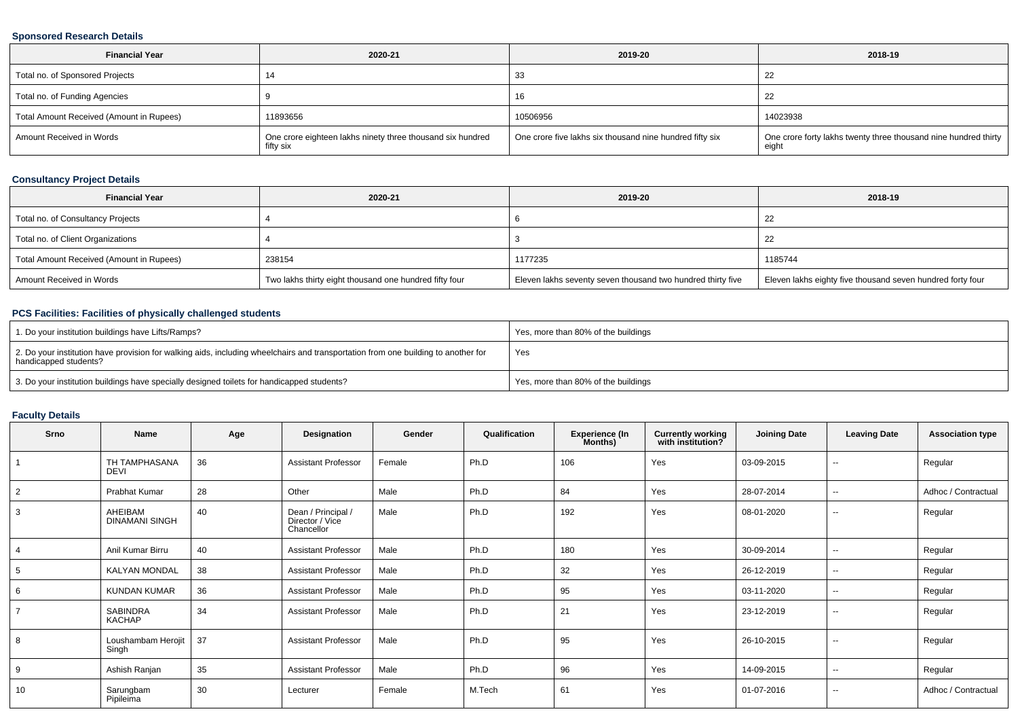### **Sponsored Research Details**

| <b>Financial Year</b>                    | 2020-21                                                                 | 2019-20                                                  | 2018-19                                                                  |
|------------------------------------------|-------------------------------------------------------------------------|----------------------------------------------------------|--------------------------------------------------------------------------|
| Total no. of Sponsored Projects          |                                                                         | 33                                                       | 22                                                                       |
| Total no. of Funding Agencies            |                                                                         | 16                                                       | 22                                                                       |
| Total Amount Received (Amount in Rupees) | 11893656                                                                | 10506956                                                 | 14023938                                                                 |
| Amount Received in Words                 | One crore eighteen lakhs ninety three thousand six hundred<br>fifty six | One crore five lakhs six thousand nine hundred fifty six | One crore forty lakhs twenty three thousand nine hundred thirty<br>eiaht |

## **Consultancy Project Details**

| <b>Financial Year</b>                    | 2020-21                                                | 2019-20                                                     | 2018-19                                                    |
|------------------------------------------|--------------------------------------------------------|-------------------------------------------------------------|------------------------------------------------------------|
| Total no. of Consultancy Projects        |                                                        |                                                             | -44                                                        |
| Total no. of Client Organizations        |                                                        |                                                             | -22                                                        |
| Total Amount Received (Amount in Rupees) | 238154                                                 | 1177235                                                     | 1185744                                                    |
| Amount Received in Words                 | Two lakhs thirty eight thousand one hundred fifty four | Eleven lakhs seventy seven thousand two hundred thirty five | Eleven lakhs eighty five thousand seven hundred forty four |

## **PCS Facilities: Facilities of physically challenged students**

| 1. Do your institution buildings have Lifts/Ramps?                                                                                                         | Yes, more than 80% of the buildings |
|------------------------------------------------------------------------------------------------------------------------------------------------------------|-------------------------------------|
| 2. Do your institution have provision for walking aids, including wheelchairs and transportation from one building to another for<br>handicapped students? | Yes                                 |
| 3. Do your institution buildings have specially designed toilets for handicapped students?                                                                 | Yes, more than 80% of the buildings |

### **Faculty Details**

| Srno           | Name                             | Age | Designation                                         | Gender | Qualification | <b>Experience (In</b><br>Months) | <b>Currently working</b><br>with institution? | <b>Joining Date</b> | <b>Leaving Date</b>      | <b>Association type</b> |
|----------------|----------------------------------|-----|-----------------------------------------------------|--------|---------------|----------------------------------|-----------------------------------------------|---------------------|--------------------------|-------------------------|
|                | TH TAMPHASANA<br>DEVI            | 36  | <b>Assistant Professor</b>                          | Female | Ph.D          | 106                              | Yes                                           | 03-09-2015          | $\overline{\phantom{a}}$ | Regular                 |
| 2              | Prabhat Kumar                    | 28  | Other                                               | Male   | Ph.D          | 84                               | Yes                                           | 28-07-2014          | $\overline{\phantom{a}}$ | Adhoc / Contractual     |
| 3              | AHEIBAM<br><b>DINAMANI SINGH</b> | 40  | Dean / Principal /<br>Director / Vice<br>Chancellor | Male   | Ph.D          | 192                              | Yes                                           | 08-01-2020          | $\sim$                   | Regular                 |
| $\overline{4}$ | Anil Kumar Birru                 | 40  | <b>Assistant Professor</b>                          | Male   | Ph.D          | 180                              | Yes                                           | 30-09-2014          | $\overline{\phantom{a}}$ | Regular                 |
| 5              | KALYAN MONDAL                    | 38  | <b>Assistant Professor</b>                          | Male   | Ph.D          | 32                               | Yes                                           | 26-12-2019          | $\sim$                   | Regular                 |
| 6              | <b>KUNDAN KUMAR</b>              | 36  | <b>Assistant Professor</b>                          | Male   | Ph.D          | 95                               | Yes                                           | 03-11-2020          | $\sim$                   | Regular                 |
| $\overline{7}$ | <b>SABINDRA</b><br>KACHAP        | 34  | <b>Assistant Professor</b>                          | Male   | Ph.D          | 21                               | Yes                                           | 23-12-2019          | $- -$                    | Regular                 |
| 8              | Loushambam Herojit<br>Singh      | 37  | <b>Assistant Professor</b>                          | Male   | Ph.D          | 95                               | Yes                                           | 26-10-2015          | $\sim$                   | Regular                 |
| 9              | Ashish Ranjan                    | 35  | <b>Assistant Professor</b>                          | Male   | Ph.D          | 96                               | Yes                                           | 14-09-2015          | $\sim$                   | Regular                 |
| 10             | Sarungbam<br>Pipileima           | 30  | Lecturer                                            | Female | M.Tech        | 61                               | Yes                                           | 01-07-2016          | $\sim$                   | Adhoc / Contractual     |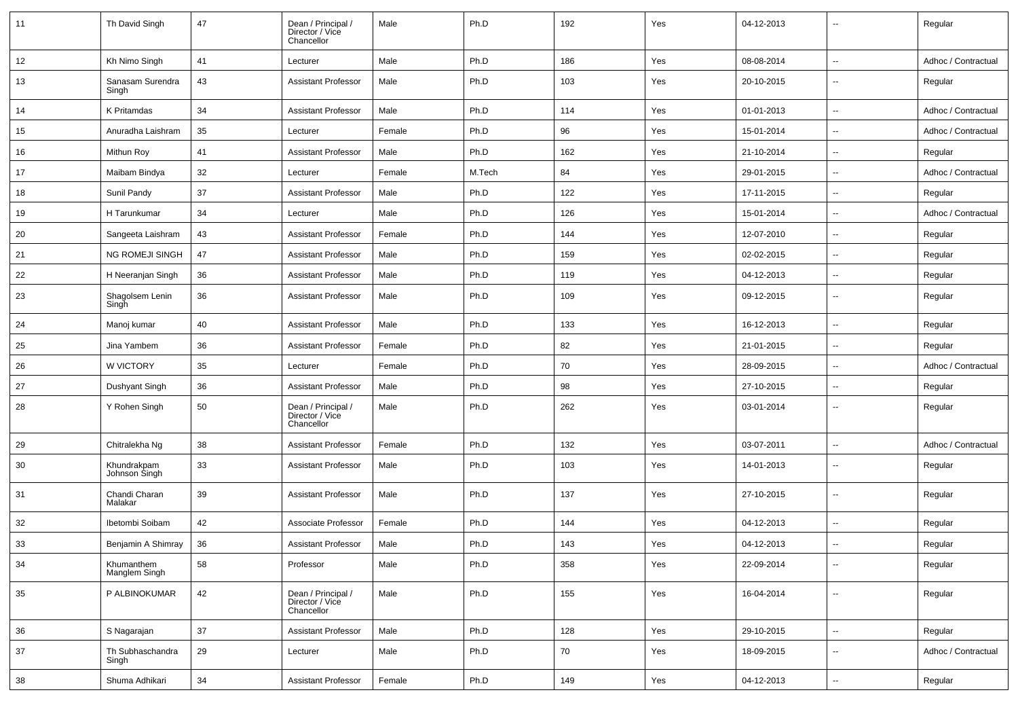| 11 | Th David Singh               | 47 | Dean / Principal /<br>Director / Vice<br>Chancellor | Male   | Ph.D   | 192 | Yes | 04-12-2013 | $\sim$                   | Regular             |
|----|------------------------------|----|-----------------------------------------------------|--------|--------|-----|-----|------------|--------------------------|---------------------|
| 12 | Kh Nimo Singh                | 41 | Lecturer                                            | Male   | Ph.D   | 186 | Yes | 08-08-2014 | $\sim$                   | Adhoc / Contractual |
| 13 | Sanasam Surendra<br>Singh    | 43 | <b>Assistant Professor</b>                          | Male   | Ph.D   | 103 | Yes | 20-10-2015 | $\sim$                   | Regular             |
| 14 | K Pritamdas                  | 34 | <b>Assistant Professor</b>                          | Male   | Ph.D   | 114 | Yes | 01-01-2013 | $\overline{\phantom{a}}$ | Adhoc / Contractual |
| 15 | Anuradha Laishram            | 35 | Lecturer                                            | Female | Ph.D   | 96  | Yes | 15-01-2014 | $\overline{\phantom{a}}$ | Adhoc / Contractual |
| 16 | Mithun Roy                   | 41 | <b>Assistant Professor</b>                          | Male   | Ph.D   | 162 | Yes | 21-10-2014 | $\overline{\phantom{a}}$ | Regular             |
| 17 | Maibam Bindya                | 32 | Lecturer                                            | Female | M.Tech | 84  | Yes | 29-01-2015 | $\overline{\phantom{a}}$ | Adhoc / Contractual |
| 18 | Sunil Pandy                  | 37 | <b>Assistant Professor</b>                          | Male   | Ph.D   | 122 | Yes | 17-11-2015 | $\overline{\phantom{a}}$ | Regular             |
| 19 | H Tarunkumar                 | 34 | Lecturer                                            | Male   | Ph.D   | 126 | Yes | 15-01-2014 | $\sim$                   | Adhoc / Contractual |
| 20 | Sangeeta Laishram            | 43 | <b>Assistant Professor</b>                          | Female | Ph.D   | 144 | Yes | 12-07-2010 | $\overline{\phantom{a}}$ | Regular             |
| 21 | <b>NG ROMEJI SINGH</b>       | 47 | Assistant Professor                                 | Male   | Ph.D   | 159 | Yes | 02-02-2015 | $\overline{\phantom{a}}$ | Regular             |
| 22 | H Neeranjan Singh            | 36 | <b>Assistant Professor</b>                          | Male   | Ph.D   | 119 | Yes | 04-12-2013 | $\overline{\phantom{a}}$ | Regular             |
| 23 | Shagolsem Lenin<br>Singh     | 36 | <b>Assistant Professor</b>                          | Male   | Ph.D   | 109 | Yes | 09-12-2015 | $\overline{\phantom{a}}$ | Regular             |
| 24 | Manoj kumar                  | 40 | <b>Assistant Professor</b>                          | Male   | Ph.D   | 133 | Yes | 16-12-2013 | $\overline{\phantom{a}}$ | Regular             |
| 25 | Jina Yambem                  | 36 | <b>Assistant Professor</b>                          | Female | Ph.D   | 82  | Yes | 21-01-2015 | $\overline{\phantom{a}}$ | Regular             |
| 26 | W VICTORY                    | 35 | Lecturer                                            | Female | Ph.D   | 70  | Yes | 28-09-2015 | $\overline{\phantom{a}}$ | Adhoc / Contractual |
| 27 | Dushyant Singh               | 36 | Assistant Professor                                 | Male   | Ph.D   | 98  | Yes | 27-10-2015 | $\sim$                   | Regular             |
| 28 | Y Rohen Singh                | 50 | Dean / Principal /<br>Director / Vice<br>Chancellor | Male   | Ph.D   | 262 | Yes | 03-01-2014 | $\overline{\phantom{a}}$ | Regular             |
| 29 | Chitralekha Ng               | 38 | <b>Assistant Professor</b>                          | Female | Ph.D   | 132 | Yes | 03-07-2011 | $\overline{\phantom{a}}$ | Adhoc / Contractual |
| 30 | Khundrakpam<br>Johnson Singh | 33 | Assistant Professor                                 | Male   | Ph.D   | 103 | Yes | 14-01-2013 | $\overline{\phantom{a}}$ | Regular             |
| 31 | Chandi Charan<br>Malakar     | 39 | Assistant Professor                                 | Male   | Ph.D   | 137 | Yes | 27-10-2015 | $\overline{\phantom{a}}$ | Regular             |
| 32 | Ibetombi Soibam              | 42 | Associate Professor                                 | Female | Ph.D   | 144 | Yes | 04-12-2013 | $\overline{\phantom{a}}$ | Regular             |
| 33 | Benjamin A Shimray           | 36 | <b>Assistant Professor</b>                          | Male   | Ph.D   | 143 | Yes | 04-12-2013 |                          | Regular             |
| 34 | Khumanthem<br>Manglem Singh  | 58 | Professor                                           | Male   | Ph.D   | 358 | Yes | 22-09-2014 | $\overline{\phantom{a}}$ | Regular             |
| 35 | P ALBINOKUMAR                | 42 | Dean / Principal /<br>Director / Vice<br>Chancellor | Male   | Ph.D   | 155 | Yes | 16-04-2014 | ۰.                       | Regular             |
| 36 | S Nagarajan                  | 37 | <b>Assistant Professor</b>                          | Male   | Ph.D   | 128 | Yes | 29-10-2015 | ۰.                       | Regular             |
| 37 | Th Subhaschandra<br>Singh    | 29 | Lecturer                                            | Male   | Ph.D   | 70  | Yes | 18-09-2015 | $\overline{\phantom{a}}$ | Adhoc / Contractual |
| 38 | Shuma Adhikari               | 34 | <b>Assistant Professor</b>                          | Female | Ph.D   | 149 | Yes | 04-12-2013 | ۰.                       | Regular             |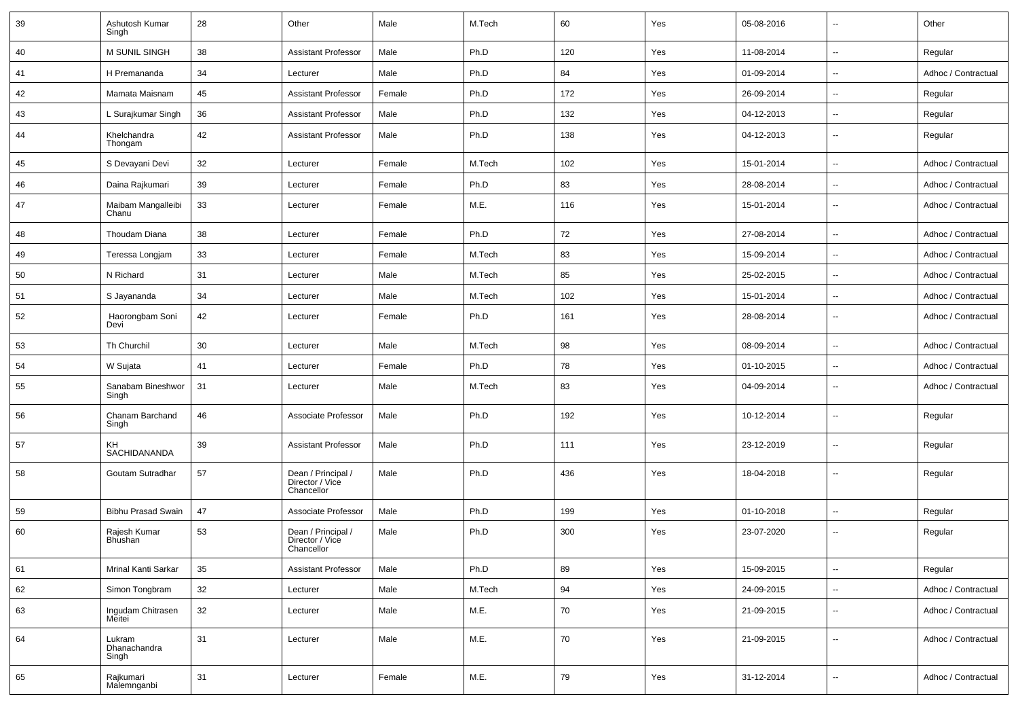| 39 | Ashutosh Kumar<br>Singh         | 28 | Other                                               | Male   | M.Tech | 60  | Yes | 05-08-2016 | $\sim$                   | Other               |
|----|---------------------------------|----|-----------------------------------------------------|--------|--------|-----|-----|------------|--------------------------|---------------------|
| 40 | M SUNIL SINGH                   | 38 | <b>Assistant Professor</b>                          | Male   | Ph.D   | 120 | Yes | 11-08-2014 | $\overline{\phantom{a}}$ | Regular             |
| 41 | H Premananda                    | 34 | Lecturer                                            | Male   | Ph.D   | 84  | Yes | 01-09-2014 | $\overline{\phantom{a}}$ | Adhoc / Contractual |
| 42 | Mamata Maisnam                  | 45 | <b>Assistant Professor</b>                          | Female | Ph.D   | 172 | Yes | 26-09-2014 | $\overline{\phantom{a}}$ | Regular             |
| 43 | L Surajkumar Singh              | 36 | <b>Assistant Professor</b>                          | Male   | Ph.D   | 132 | Yes | 04-12-2013 | $\overline{\phantom{a}}$ | Regular             |
| 44 | Khelchandra<br>Thongam          | 42 | <b>Assistant Professor</b>                          | Male   | Ph.D   | 138 | Yes | 04-12-2013 | $\sim$                   | Regular             |
| 45 | S Devayani Devi                 | 32 | Lecturer                                            | Female | M.Tech | 102 | Yes | 15-01-2014 | $\overline{\phantom{a}}$ | Adhoc / Contractual |
| 46 | Daina Rajkumari                 | 39 | Lecturer                                            | Female | Ph.D   | 83  | Yes | 28-08-2014 | $\ddot{\phantom{a}}$     | Adhoc / Contractual |
| 47 | Maibam Mangalleibi<br>Chanu     | 33 | Lecturer                                            | Female | M.E.   | 116 | Yes | 15-01-2014 | $\overline{\phantom{a}}$ | Adhoc / Contractual |
| 48 | Thoudam Diana                   | 38 | Lecturer                                            | Female | Ph.D   | 72  | Yes | 27-08-2014 | $\ddotsc$                | Adhoc / Contractual |
| 49 | Teressa Longjam                 | 33 | Lecturer                                            | Female | M.Tech | 83  | Yes | 15-09-2014 | $\sim$                   | Adhoc / Contractual |
| 50 | N Richard                       | 31 | Lecturer                                            | Male   | M.Tech | 85  | Yes | 25-02-2015 | $\sim$                   | Adhoc / Contractual |
| 51 | S Jayananda                     | 34 | Lecturer                                            | Male   | M.Tech | 102 | Yes | 15-01-2014 | $\overline{\phantom{a}}$ | Adhoc / Contractual |
| 52 | Haorongbam Soni<br>Devi         | 42 | Lecturer                                            | Female | Ph.D   | 161 | Yes | 28-08-2014 | $\overline{\phantom{a}}$ | Adhoc / Contractual |
| 53 | Th Churchil                     | 30 | Lecturer                                            | Male   | M.Tech | 98  | Yes | 08-09-2014 | $\overline{\phantom{a}}$ | Adhoc / Contractual |
| 54 | W Sujata                        | 41 | Lecturer                                            | Female | Ph.D   | 78  | Yes | 01-10-2015 | $\overline{\phantom{a}}$ | Adhoc / Contractual |
| 55 | Sanabam Bineshwor<br>Singh      | 31 | Lecturer                                            | Male   | M.Tech | 83  | Yes | 04-09-2014 | $\overline{\phantom{a}}$ | Adhoc / Contractual |
| 56 | Chanam Barchand<br>Singh        | 46 | Associate Professor                                 | Male   | Ph.D   | 192 | Yes | 10-12-2014 | $\sim$                   | Regular             |
| 57 | <b>KH</b><br>SACHIDANANDA       | 39 | <b>Assistant Professor</b>                          | Male   | Ph.D   | 111 | Yes | 23-12-2019 | $\overline{\phantom{a}}$ | Regular             |
| 58 | Goutam Sutradhar                | 57 | Dean / Principal /<br>Director / Vice<br>Chancellor | Male   | Ph.D   | 436 | Yes | 18-04-2018 | $\overline{\phantom{a}}$ | Regular             |
| 59 | <b>Bibhu Prasad Swain</b>       | 47 | Associate Professor                                 | Male   | Ph.D   | 199 | Yes | 01-10-2018 | $\overline{\phantom{a}}$ | Regular             |
| 60 | Rajesh Kumar<br>Bhushan         | 53 | Dean / Principal /<br>Director / Vice<br>Chancellor | Male   | Ph.D   | 300 | Yes | 23-07-2020 | $\overline{\phantom{a}}$ | Regular             |
| 61 | Mrinal Kanti Sarkar             | 35 | <b>Assistant Professor</b>                          | Male   | Ph.D   | 89  | Yes | 15-09-2015 | $\overline{\phantom{a}}$ | Regular             |
| 62 | Simon Tongbram                  | 32 | Lecturer                                            | Male   | M.Tech | 94  | Yes | 24-09-2015 | $\overline{\phantom{a}}$ | Adhoc / Contractual |
| 63 | Ingudam Chitrasen<br>Meitei     | 32 | Lecturer                                            | Male   | M.E.   | 70  | Yes | 21-09-2015 | ۰.                       | Adhoc / Contractual |
| 64 | Lukram<br>Dhanachandra<br>Singh | 31 | Lecturer                                            | Male   | M.E.   | 70  | Yes | 21-09-2015 | ۰.                       | Adhoc / Contractual |
| 65 | Rajkumari<br>Malemnganbi        | 31 | Lecturer                                            | Female | M.E.   | 79  | Yes | 31-12-2014 | $\overline{\phantom{a}}$ | Adhoc / Contractual |